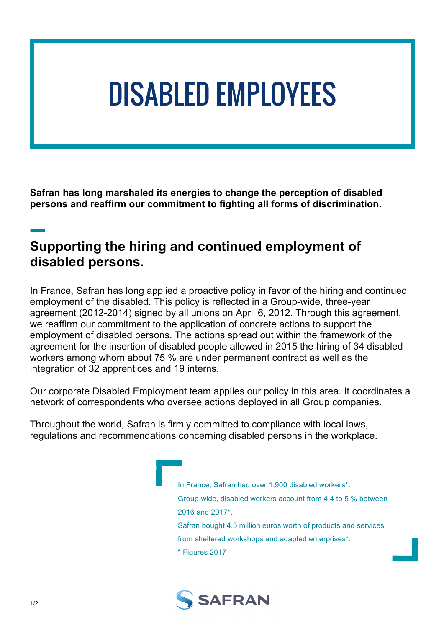# DISABLED EMPLOYEES

**Safran has long marshaled its energies to change the perception of disabled persons and reaffirm our commitment to fighting all forms of discrimination.** Saf<br>per:<br>**\_\_** 

### **Supporting the hiring and continued employment of disabled persons.**

In France, Safran has long applied a proactive policy in favor of the hiring and continued employment of the disabled. This policy is reflected in a Group-wide, three-year agreement (2012-2014) signed by all unions on April 6, 2012. Through this agreement, we reaffirm our commitment to the application of concrete actions to support the employment of disabled persons. The actions spread out within the framework of the agreement for the insertion of disabled people allowed in 2015 the hiring of 34 disabled workers among whom about 75 % are under permanent contract as well as the integration of 32 apprentices and 19 interns.

Our corporate Disabled Employment team applies our policy in this area. It coordinates a network of correspondents who oversee actions deployed in all Group companies.

Throughout the world, Safran is firmly committed to compliance with local laws, regulations and recommendations concerning disabled persons in the workplace.

> In France, Safran had over 1,900 disabled workers\*. Group-wide, disabled workers account from 4.4 to 5 % between 2016 and 2017\*. Safran bought 4.5 million euros worth of products and services from sheltered workshops and adapted enterprises\*. \* Figures 2017